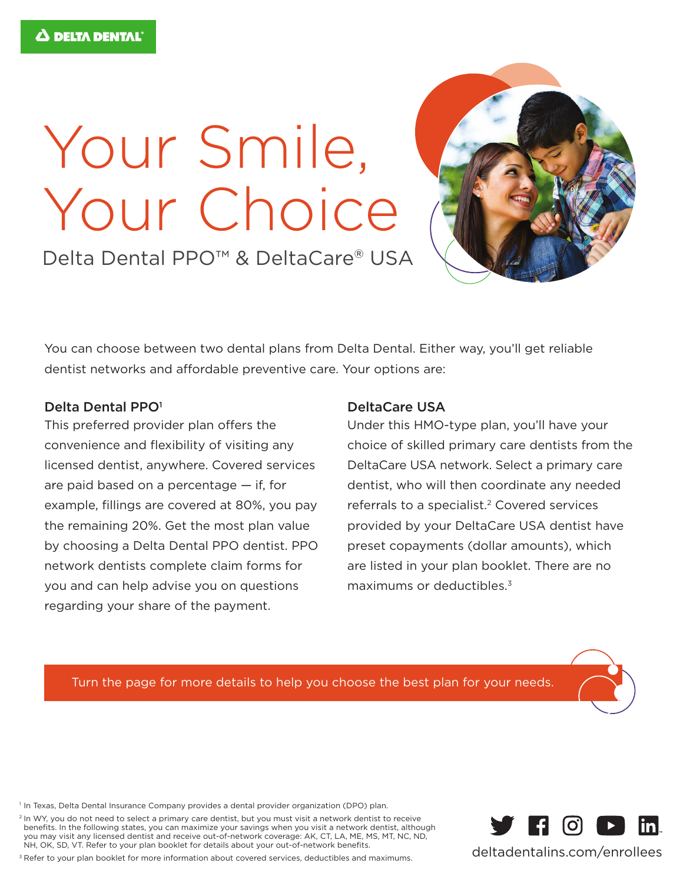## Your Smile, Your Choice

Delta Dental PPO<sup>™</sup> & DeltaCare® USA

You can choose between two dental plans from Delta Dental. Either way, you'll get reliable dentist networks and affordable preventive care. Your options are:

## Delta Dental PPO<sup>1</sup>

This preferred provider plan offers the convenience and flexibility of visiting any licensed dentist, anywhere. Covered services are paid based on a percentage — if, for example, fillings are covered at 80%, you pay the remaining 20%. Get the most plan value by choosing a Delta Dental PPO dentist. PPO network dentists complete claim forms for you and can help advise you on questions regarding your share of the payment.

## DeltaCare USA

Under this HMO-type plan, you'll have your choice of skilled primary care dentists from the DeltaCare USA network. Select a primary care dentist, who will then coordinate any needed referrals to a specialist.<sup>2</sup> Covered services provided by your DeltaCare USA dentist have preset copayments (dollar amounts), which are listed in your plan booklet. There are no maximums or deductibles.<sup>3</sup>

Turn the page for more details to help you choose the best plan for your needs.

<sup>1</sup> In Texas, Delta Dental Insurance Company provides a dental provider organization (DPO) plan.

<sup>2</sup> In WY, you do not need to select a primary care dentist, but you must visit a network dentist to receive benefits. In the following states, you can maximize your savings when you visit a network dentist, although you may visit any licensed dentist and receive out-of-network coverage: AK, CT, LA, ME, MS, MT, NC, ND, NH, OK, SD, VT. Refer to your plan booklet for details about your out-of-network benefits.

<sup>3</sup> Refer to your plan booklet for more information about covered services, deductibles and maximums.



deltadentalins.com/enrollees